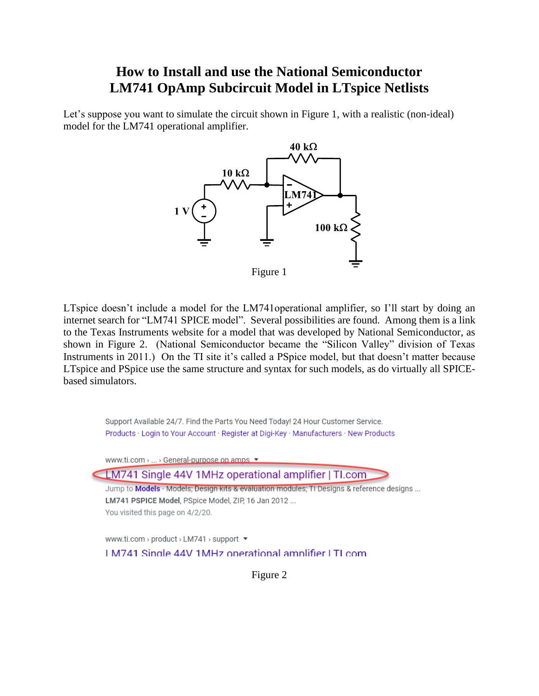## **How to Install and use the National Semiconductor LM741 OpAmp Subcircuit Model in LTspice Netlists**

Let's suppose you want to simulate the circuit shown in Figure 1, with a realistic (non-ideal) model for the LM741 operational amplifier.



Figure 1

LTspice doesn't include a model for the LM741operational amplifier, so I'll start by doing an internet search for "LM741 SPICE model". Several possibilities are found. Among them is a link to the Texas Instruments website for a model that was developed by National Semiconductor, as shown in Figure 2. (National Semiconductor became the "Silicon Valley" division of Texas Instruments in 2011.) On the TI site it's called a PSpice model, but that doesn't matter because LTspice and PSpice use the same structure and syntax for such models, as do virtually all SPICEbased simulators.



Figure 2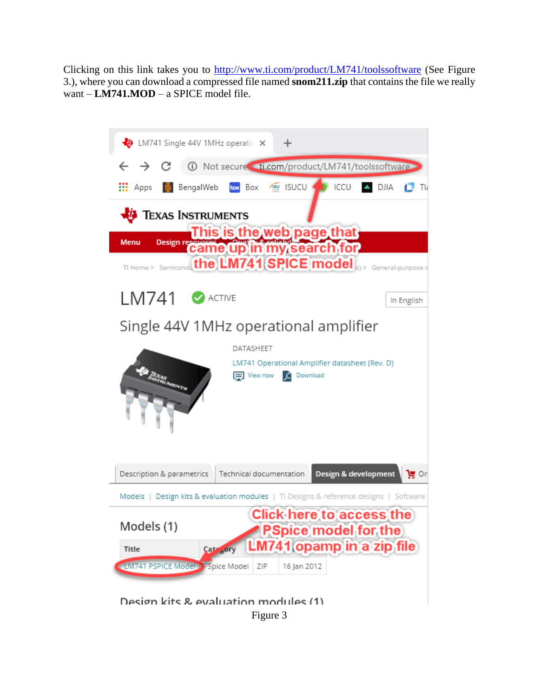Clicking on this link takes you to<http://www.ti.com/product/LM741/toolssoftware> (See Figure 3.), where you can download a compressed file named **snom211.zip** that contains the file we really want – **LM741.MOD** – a SPICE model file.



Design kits & evaluation modules (1) Figure 3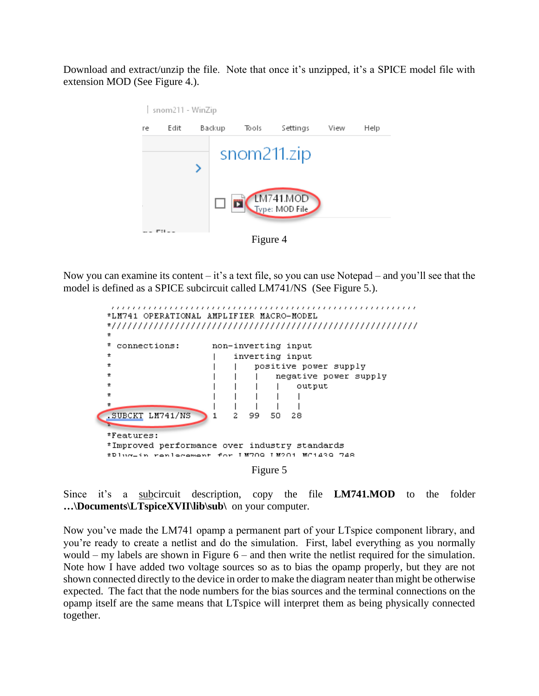Download and extract/unzip the file. Note that once it's unzipped, it's a SPICE model file with extension MOD (See Figure 4.).



Now you can examine its content – it's a text file, so you can use Notepad – and you'll see that the model is defined as a SPICE subcircuit called LM741/NS (See Figure 5.).

y.

7

| *LM741 OPERATIONAL AMPLIFIER MACRO-MODEL                                        |  |    |          |                       |            |  |  |  |
|---------------------------------------------------------------------------------|--|----|----------|-----------------------|------------|--|--|--|
| *                                                                               |  |    |          |                       |            |  |  |  |
| connections:                                                                    |  |    |          | non-inverting input   |            |  |  |  |
| $\star$                                                                         |  |    |          | inverting input       |            |  |  |  |
| $\star$                                                                         |  |    |          | positive power supply |            |  |  |  |
| $\star$                                                                         |  |    |          | negative power supply |            |  |  |  |
| $\star$                                                                         |  |    |          | output                |            |  |  |  |
| *                                                                               |  |    |          |                       |            |  |  |  |
| ÷.                                                                              |  |    |          |                       |            |  |  |  |
| .SUBCKT LM741/NS                                                                |  | 99 | 50       | 28                    |            |  |  |  |
| *Features:                                                                      |  |    |          |                       |            |  |  |  |
| *Improved performance over industry standards<br>tPlug-in renlegement for IN709 |  |    | エ M2 〇 1 |                       | MC1439 748 |  |  |  |
|                                                                                 |  |    | Figure 5 |                       |            |  |  |  |

Since it's a subcircuit description, copy the file **LM741.MOD** to the folder **…\Documents\LTspiceXVII\lib\sub\** on your computer.

Now you've made the LM741 opamp a permanent part of your LTspice component library, and you're ready to create a netlist and do the simulation. First, label everything as you normally would – my labels are shown in Figure 6 – and then write the netlist required for the simulation. Note how I have added two voltage sources so as to bias the opamp properly, but they are not shown connected directly to the device in order to make the diagram neater than might be otherwise expected. The fact that the node numbers for the bias sources and the terminal connections on the opamp itself are the same means that LTspice will interpret them as being physically connected together.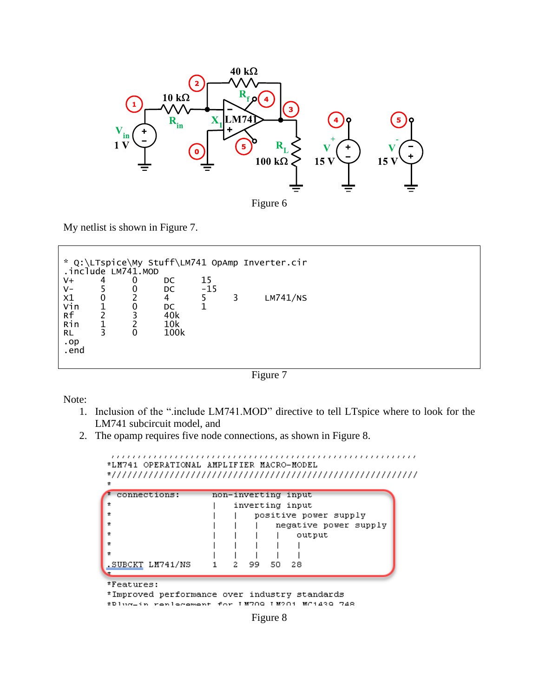

Figure 6

My netlist is shown in Figure 7.

|                                                |                   | .include LM741.MOD |                               |             |   | * Q:\LTspice\My Stuff\LM741 OpAmp Inverter.cir |  |
|------------------------------------------------|-------------------|--------------------|-------------------------------|-------------|---|------------------------------------------------|--|
| V+<br>$V -$                                    | 4                 | 0<br>0             | DC<br>DC                      | 15<br>$-15$ |   |                                                |  |
| X1<br>Vin<br>Rf<br>Rin<br>RL<br>$.$ op<br>.end | $\mathbf{0}$<br>3 | 0<br>3<br>0        | 4<br>DC<br>40k<br>10k<br>100k | 5.          | 3 | LM741/NS                                       |  |

Figure 7

Note:

- 1. Inclusion of the ".include LM741.MOD" directive to tell LTspice where to look for the LM741 subcircuit model, and
- 2. The opamp requires five node connections, as shown in Figure 8.

```
*LM741 OPERATIONAL AMPLIFIER MACRO-MODEL
\starconnections:
                    non-inverting input
                        inverting input
\star\starpositive power supply
                        \mathbf{I}\starnegative power supply
                            \mathbf{I}\staroutput
                                \overline{1}\star\overline{1}\mathsf{I}\star\mathbf{I}\mathbf{I}\mathsf{I}\mathbf{I}.SUBCKT LM741/NS
                           99
                               50
                                   28
                        2
                    1
*Features:
*Improved performance over industry standards
*Dlug-in renlegement for IN700 IN201 NC1430 748
```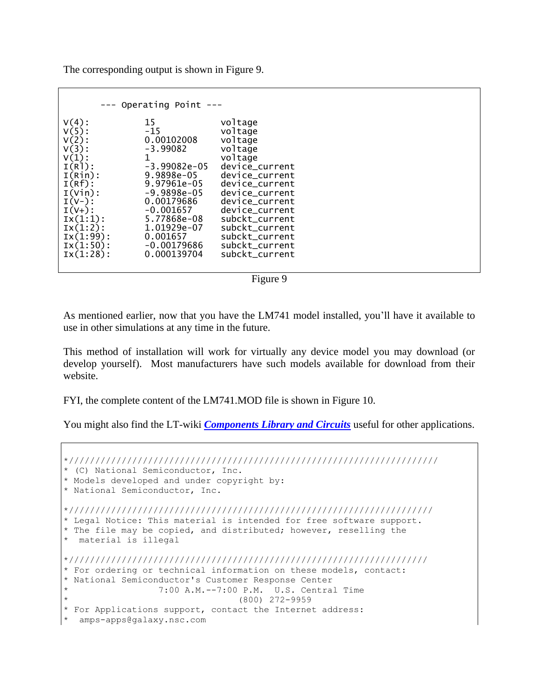The corresponding output is shown in Figure 9.

| --- Operating Point ---                                                                                                                                                                                  |                                                                                                                                                                                                                     |                                                                                                                                                                                                                                                           |  |  |  |  |
|----------------------------------------------------------------------------------------------------------------------------------------------------------------------------------------------------------|---------------------------------------------------------------------------------------------------------------------------------------------------------------------------------------------------------------------|-----------------------------------------------------------------------------------------------------------------------------------------------------------------------------------------------------------------------------------------------------------|--|--|--|--|
| $V(4)$ :<br>$V(5)$ :<br>$V(2)$ :<br>$V(3)$ :<br>$V(1)$ :<br>$I(R]$ :<br>I(Rin):<br>$I(Rf)$ :<br>$I(Vin)$ :<br>$I(V-):$<br>$I(V+)$ :<br>IX(1:1):<br>$IX(1:2)$ :<br>$IX(1:99)$ :<br>IX(1:50):<br>IX(1:28): | 15<br>$-15$<br>0.00102008<br>$-3.99082$<br>1<br>$-3.99082e-05$<br>9.9898e-05<br>9.97961e-05<br>$-9.9898e-05$<br>0.00179686<br>$-0.001657$<br>5.77868e-08<br>1.01929e-07<br>0.001657<br>$-0.00179686$<br>0.000139704 | voltage<br>voltage<br>voltage<br>voltage<br>voltage<br>device_current<br>device_current<br>device current<br>device current<br>device_current<br>device current<br>subckt_current<br>subckt_current<br>subckt_current<br>subckt_current<br>subckt current |  |  |  |  |
|                                                                                                                                                                                                          |                                                                                                                                                                                                                     |                                                                                                                                                                                                                                                           |  |  |  |  |



As mentioned earlier, now that you have the LM741 model installed, you'll have it available to use in other simulations at any time in the future.

This method of installation will work for virtually any device model you may download (or develop yourself). Most manufacturers have such models available for download from their website.

FYI, the complete content of the LM741.MOD file is shown in Figure 10.

You might also find the LT-wiki *[Components Library and Circuits](http://ltwiki.org/?title=Components_Library_and_Circuits)* useful for other applications.

```
*//////////////////////////////////////////////////////////////////////
* (C) National Semiconductor, Inc.
* Models developed and under copyright by:
* National Semiconductor, Inc. 
*/////////////////////////////////////////////////////////////////////
* Legal Notice: This material is intended for free software support.
* The file may be copied, and distributed; however, reselling the 
* material is illegal
*////////////////////////////////////////////////////////////////////
* For ordering or technical information on these models, contact:
* National Semiconductor's Customer Response Center
                7:00 A.M.--7:00 P.M. U.S. Central Time
                                (800) 272-9959
* For Applications support, contact the Internet address:
  amps-apps@galaxy.nsc.com
```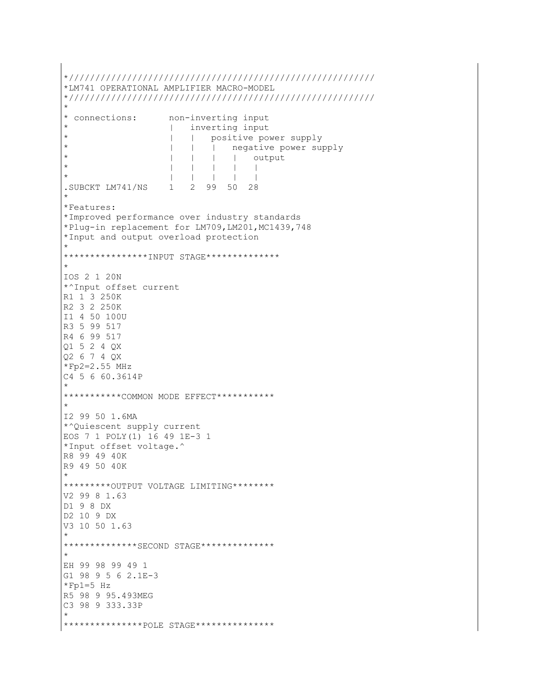```
*//////////////////////////////////////////////////////////
*LM741 OPERATIONAL AMPLIFIER MACRO-MODEL
*//////////////////////////////////////////////////////////
*
* connections: non-inverting input
                    | inverting input
                    | | positive power supply
                    | | | negative power supply
                    | | | | output
                    \mathbf{I} = \mathbf{I} + \mathbf{I} + \mathbf{I} + \mathbf{I}* | | | | |
.SUBCKT LM741/NS 1 2 99 50 28
*
*Features:
*Improved performance over industry standards
*Plug-in replacement for LM709,LM201,MC1439,748
*Input and output overload protection
*
****************INPUT STAGE**************
*
IOS 2 1 20N
*^Input offset current
R1 1 3 250K
R2 3 2 250K
I1 4 50 100U
R3 5 99 517
R4 6 99 517
Q1 5 2 4 QX
Q2 6 7 4 QX
*Fp2=2.55 MHz
C4 5 6 60.3614P
*
***********COMMON MODE EFFECT***********
*
I2 99 50 1.6MA
*^Quiescent supply current
EOS 7 1 POLY(1) 16 49 1E-3 1
*Input offset voltage.^
R8 99 49 40K
R9 49 50 40K
*
*********OUTPUT VOLTAGE LIMITING********
V2 99 8 1.63
D1 9 8 DX
D2 10 9 DX
V3 10 50 1.63
*
*************SECOND STAGE**************
*
EH 99 98 99 49 1
G1 98 9 5 6 2.1E-3
*Fp1=5 Hz
R5 98 9 95.493MEG
C3 98 9 333.33P
*
**************POLE STAGE***************
```